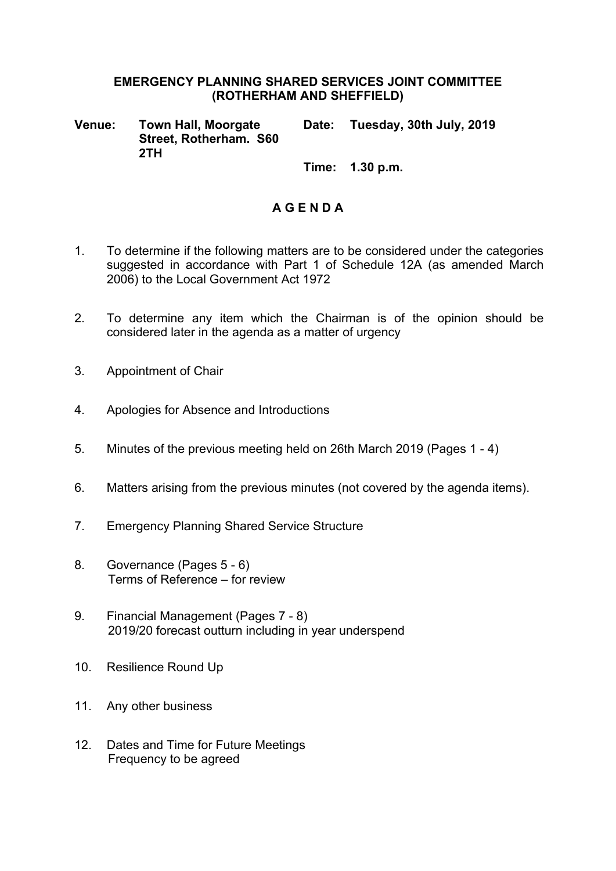#### **EMERGENCY PLANNING SHARED SERVICES JOINT COMMITTEE (ROTHERHAM AND SHEFFIELD)**

**Venue: Town Hall, Moorgate Street, Rotherham. S60 2TH Date: Tuesday, 30th July, 2019**

**Time: 1.30 p.m.**

#### **A G E N D A**

- 1. To determine if the following matters are to be considered under the categories suggested in accordance with Part 1 of Schedule 12A (as amended March 2006) to the Local Government Act 1972
- 2. To determine any item which the Chairman is of the opinion should be considered later in the agenda as a matter of urgency
- 3. Appointment of Chair
- 4. Apologies for Absence and Introductions
- 5. Minutes of the previous meeting held on 26th March 2019 (Pages 1 4)
- 6. Matters arising from the previous minutes (not covered by the agenda items).
- 7. Emergency Planning Shared Service Structure
- 8. Governance (Pages 5 6) Terms of Reference – for review
- 9. Financial Management (Pages 7 8) 2019/20 forecast outturn including in year underspend
- 10. Resilience Round Up
- 11. Any other business
- 12. Dates and Time for Future Meetings Frequency to be agreed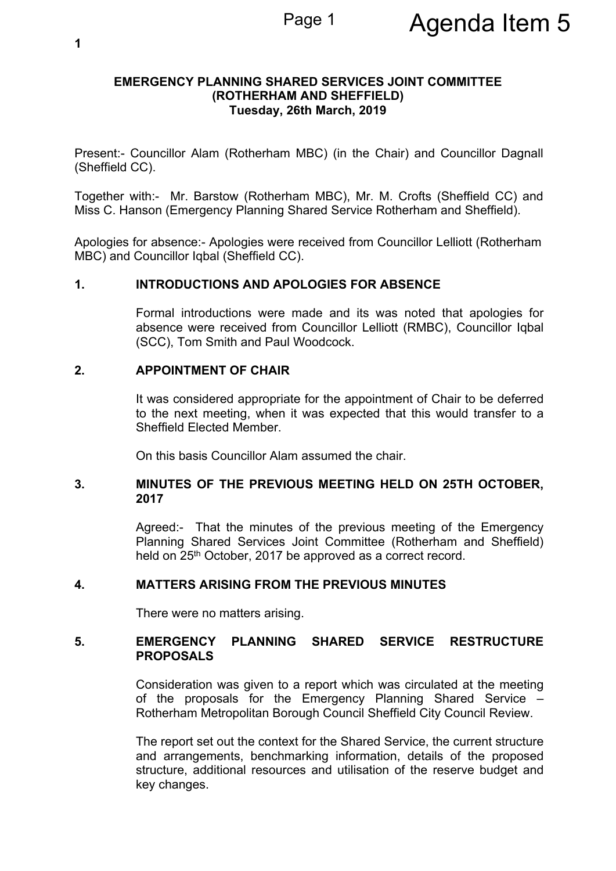#### **EMERGENCY PLANNING SHARED SERVICES JOINT COMMITTEE (ROTHERHAM AND SHEFFIELD) Tuesday, 26th March, 2019**

Present:- Councillor Alam (Rotherham MBC) (in the Chair) and Councillor Dagnall (Sheffield CC).

Together with:- Mr. Barstow (Rotherham MBC), Mr. M. Crofts (Sheffield CC) and Miss C. Hanson (Emergency Planning Shared Service Rotherham and Sheffield).

Apologies for absence:- Apologies were received from Councillor Lelliott (Rotherham MBC) and Councillor Iqbal (Sheffield CC).

#### **1. INTRODUCTIONS AND APOLOGIES FOR ABSENCE**

Formal introductions were made and its was noted that apologies for absence were received from Councillor Lelliott (RMBC), Councillor Iqbal (SCC), Tom Smith and Paul Woodcock.

#### **2. APPOINTMENT OF CHAIR**

It was considered appropriate for the appointment of Chair to be deferred to the next meeting, when it was expected that this would transfer to a Sheffield Elected Member.

On this basis Councillor Alam assumed the chair.

#### **3. MINUTES OF THE PREVIOUS MEETING HELD ON 25TH OCTOBER, 2017**

Agreed:- That the minutes of the previous meeting of the Emergency Planning Shared Services Joint Committee (Rotherham and Sheffield) held on 25<sup>th</sup> October, 2017 be approved as a correct record.

#### **4. MATTERS ARISING FROM THE PREVIOUS MINUTES**

There were no matters arising.

#### **5. EMERGENCY PLANNING SHARED SERVICE RESTRUCTURE PROPOSALS**

Consideration was given to a report which was circulated at the meeting of the proposals for the Emergency Planning Shared Service – Rotherham Metropolitan Borough Council Sheffield City Council Review.

The report set out the context for the Shared Service, the current structure and arrangements, benchmarking information, details of the proposed structure, additional resources and utilisation of the reserve budget and key changes.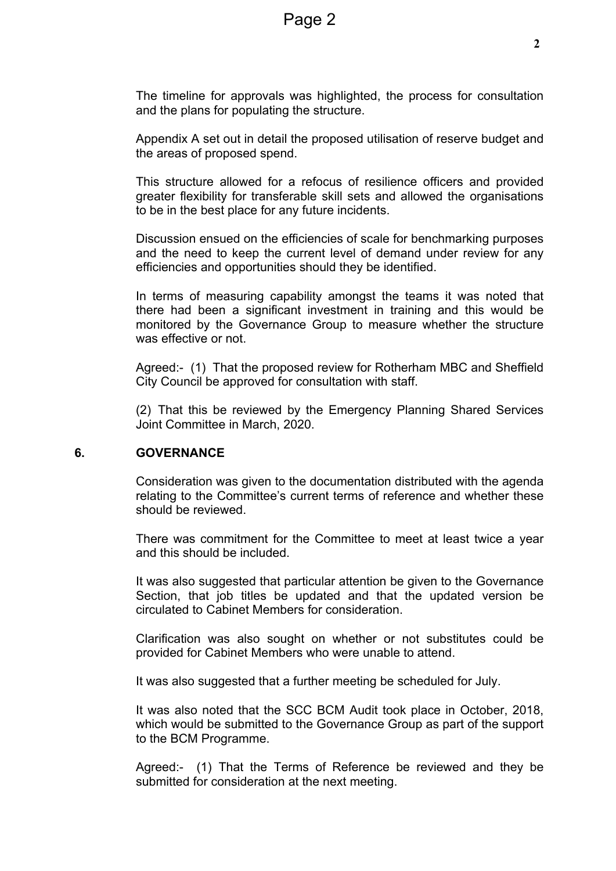The timeline for approvals was highlighted, the process for consultation and the plans for populating the structure.

Appendix A set out in detail the proposed utilisation of reserve budget and the areas of proposed spend.

This structure allowed for a refocus of resilience officers and provided greater flexibility for transferable skill sets and allowed the organisations to be in the best place for any future incidents.

Discussion ensued on the efficiencies of scale for benchmarking purposes and the need to keep the current level of demand under review for any efficiencies and opportunities should they be identified.

In terms of measuring capability amongst the teams it was noted that there had been a significant investment in training and this would be monitored by the Governance Group to measure whether the structure was effective or not.

Agreed:- (1) That the proposed review for Rotherham MBC and Sheffield City Council be approved for consultation with staff.

(2) That this be reviewed by the Emergency Planning Shared Services Joint Committee in March, 2020.

#### **6. GOVERNANCE**

Consideration was given to the documentation distributed with the agenda relating to the Committee's current terms of reference and whether these should be reviewed.

There was commitment for the Committee to meet at least twice a year and this should be included.

It was also suggested that particular attention be given to the Governance Section, that job titles be updated and that the updated version be circulated to Cabinet Members for consideration.

Clarification was also sought on whether or not substitutes could be provided for Cabinet Members who were unable to attend.

It was also suggested that a further meeting be scheduled for July.

It was also noted that the SCC BCM Audit took place in October, 2018, which would be submitted to the Governance Group as part of the support to the BCM Programme.

Agreed:- (1) That the Terms of Reference be reviewed and they be submitted for consideration at the next meeting.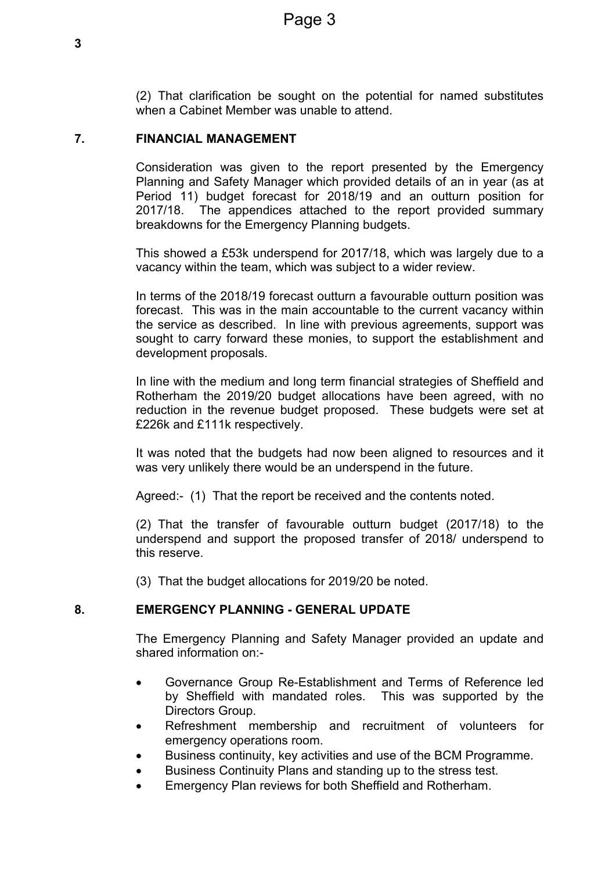(2) That clarification be sought on the potential for named substitutes when a Cabinet Member was unable to attend.

#### **7. FINANCIAL MANAGEMENT**

Consideration was given to the report presented by the Emergency Planning and Safety Manager which provided details of an in year (as at Period 11) budget forecast for 2018/19 and an outturn position for 2017/18. The appendices attached to the report provided summary breakdowns for the Emergency Planning budgets.

This showed a £53k underspend for 2017/18, which was largely due to a vacancy within the team, which was subject to a wider review.

In terms of the 2018/19 forecast outturn a favourable outturn position was forecast. This was in the main accountable to the current vacancy within the service as described. In line with previous agreements, support was sought to carry forward these monies, to support the establishment and development proposals.

In line with the medium and long term financial strategies of Sheffield and Rotherham the 2019/20 budget allocations have been agreed, with no reduction in the revenue budget proposed. These budgets were set at £226k and £111k respectively.

It was noted that the budgets had now been aligned to resources and it was very unlikely there would be an underspend in the future.

Agreed:- (1) That the report be received and the contents noted.

(2) That the transfer of favourable outturn budget (2017/18) to the underspend and support the proposed transfer of 2018/ underspend to this reserve.

(3) That the budget allocations for 2019/20 be noted.

#### **8. EMERGENCY PLANNING - GENERAL UPDATE**

The Emergency Planning and Safety Manager provided an update and shared information on:-

- Governance Group Re-Establishment and Terms of Reference led by Sheffield with mandated roles. This was supported by the Directors Group.
- Refreshment membership and recruitment of volunteers for emergency operations room.
- Business continuity, key activities and use of the BCM Programme.
- Business Continuity Plans and standing up to the stress test.
- Emergency Plan reviews for both Sheffield and Rotherham.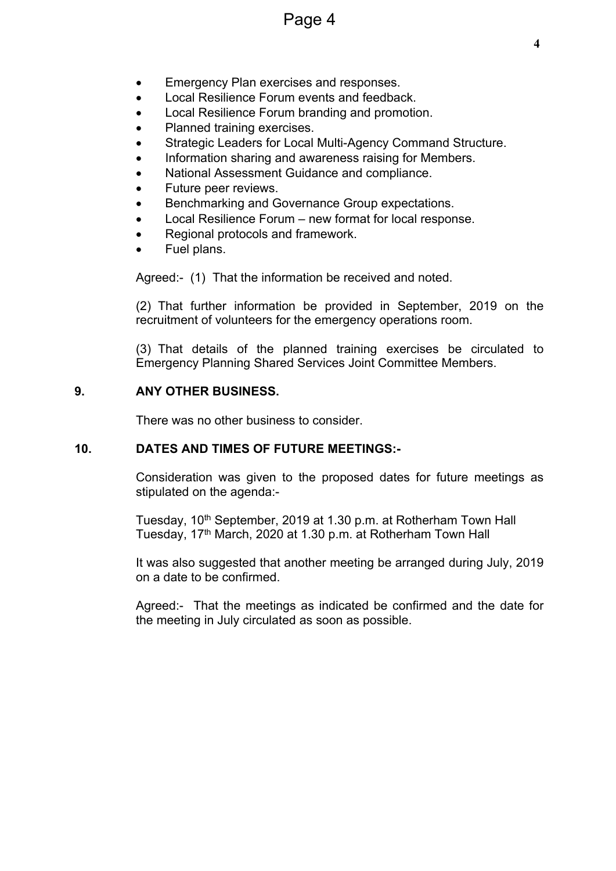- Emergency Plan exercises and responses.
- Local Resilience Forum events and feedback.
- Local Resilience Forum branding and promotion.
- Planned training exercises.
- Strategic Leaders for Local Multi-Agency Command Structure.
- Information sharing and awareness raising for Members.
- National Assessment Guidance and compliance.
- Future peer reviews.
- Benchmarking and Governance Group expectations.
- Local Resilience Forum new format for local response.
- Regional protocols and framework.
- Fuel plans.

Agreed:- (1) That the information be received and noted.

(2) That further information be provided in September, 2019 on the recruitment of volunteers for the emergency operations room.

(3) That details of the planned training exercises be circulated to Emergency Planning Shared Services Joint Committee Members.

#### **9. ANY OTHER BUSINESS.**

There was no other business to consider.

#### **10. DATES AND TIMES OF FUTURE MEETINGS:-**

Consideration was given to the proposed dates for future meetings as stipulated on the agenda:-

Tuesday, 10th September, 2019 at 1.30 p.m. at Rotherham Town Hall Tuesday, 17<sup>th</sup> March, 2020 at 1.30 p.m. at Rotherham Town Hall

It was also suggested that another meeting be arranged during July, 2019 on a date to be confirmed.

Agreed:- That the meetings as indicated be confirmed and the date for the meeting in July circulated as soon as possible.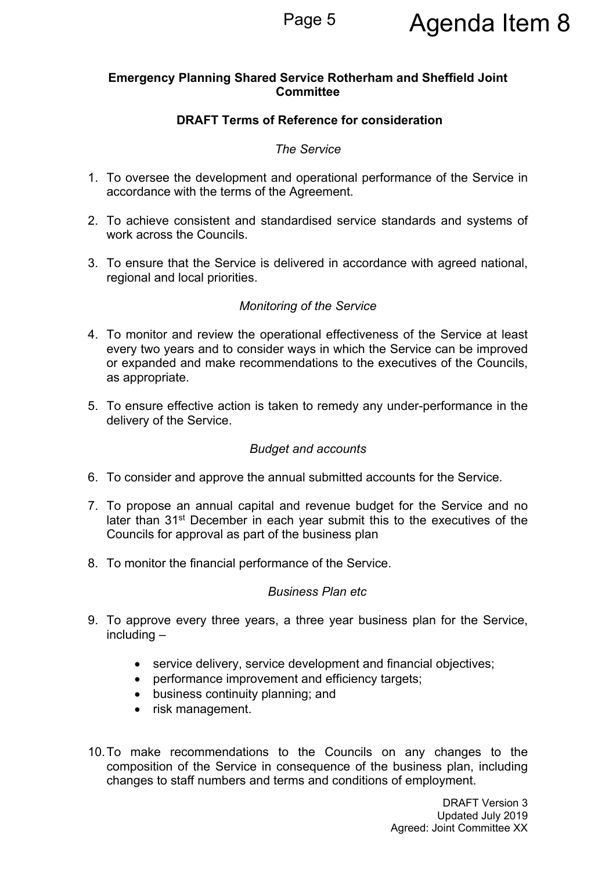# Page 5 **Agenda Item 8**

#### **Emergency Planning Shared Service Rotherham and Sheffield Joint Committee**

#### **DRAFT Terms of Reference for consideration**

#### *The Service*

- 1. To oversee the development and operational performance of the Service in accordance with the terms of the Agreement.
- 2. To achieve consistent and standardised service standards and systems of work across the Councils.
- 3. To ensure that the Service is delivered in accordance with agreed national, regional and local priorities.

#### *Monitoring of the Service*

- 4. To monitor and review the operational effectiveness of the Service at least every two years and to consider ways in which the Service can be improved or expanded and make recommendations to the executives of the Councils, as appropriate.
- 5. To ensure effective action is taken to remedy any under-performance in the delivery of the Service.

#### *Budget and accounts*

- 6. To consider and approve the annual submitted accounts for the Service.
- 7. To propose an annual capital and revenue budget for the Service and no later than 31<sup>st</sup> December in each year submit this to the executives of the Councils for approval as part of the business plan
- 8. To monitor the financial performance of the Service.

#### *Business Plan etc*

- 9. To approve every three years, a three year business plan for the Service, including –
	- service delivery, service development and financial objectives;
	- performance improvement and efficiency targets;
	- business continuity planning; and
	- risk management.
- 10.To make recommendations to the Councils on any changes to the composition of the Service in consequence of the business plan, including changes to staff numbers and terms and conditions of employment.

DRAFT Version 3 Updated July 2019 Agreed: Joint Committee XX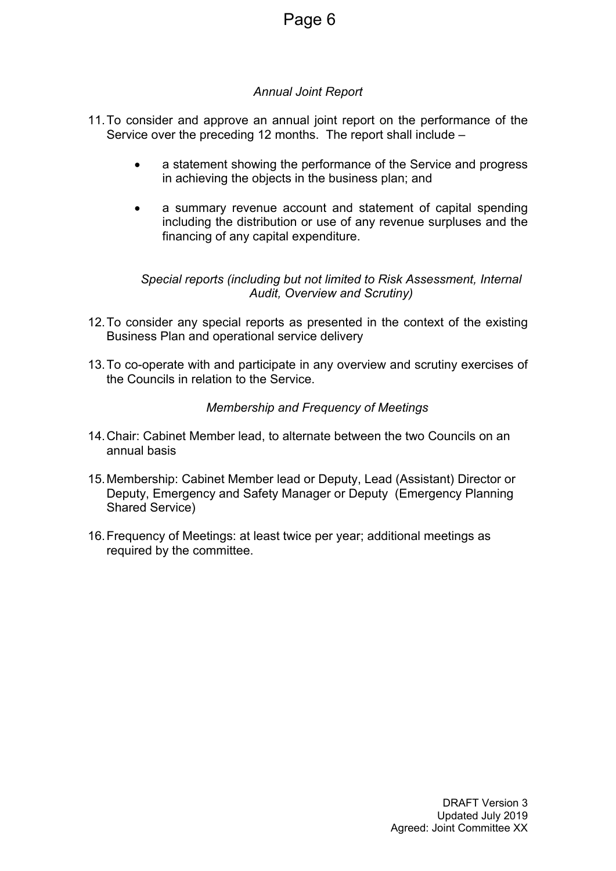#### *Annual Joint Report*

- 11.To consider and approve an annual joint report on the performance of the Service over the preceding 12 months. The report shall include –
	- a statement showing the performance of the Service and progress in achieving the objects in the business plan; and
	- a summary revenue account and statement of capital spending including the distribution or use of any revenue surpluses and the financing of any capital expenditure.

#### *Special reports (including but not limited to Risk Assessment, Internal Audit, Overview and Scrutiny)*

- 12.To consider any special reports as presented in the context of the existing Business Plan and operational service delivery
- 13.To co-operate with and participate in any overview and scrutiny exercises of the Councils in relation to the Service.

#### *Membership and Frequency of Meetings*

- 14.Chair: Cabinet Member lead, to alternate between the two Councils on an annual basis
- 15.Membership: Cabinet Member lead or Deputy, Lead (Assistant) Director or Deputy, Emergency and Safety Manager or Deputy (Emergency Planning Shared Service)
- 16.Frequency of Meetings: at least twice per year; additional meetings as required by the committee.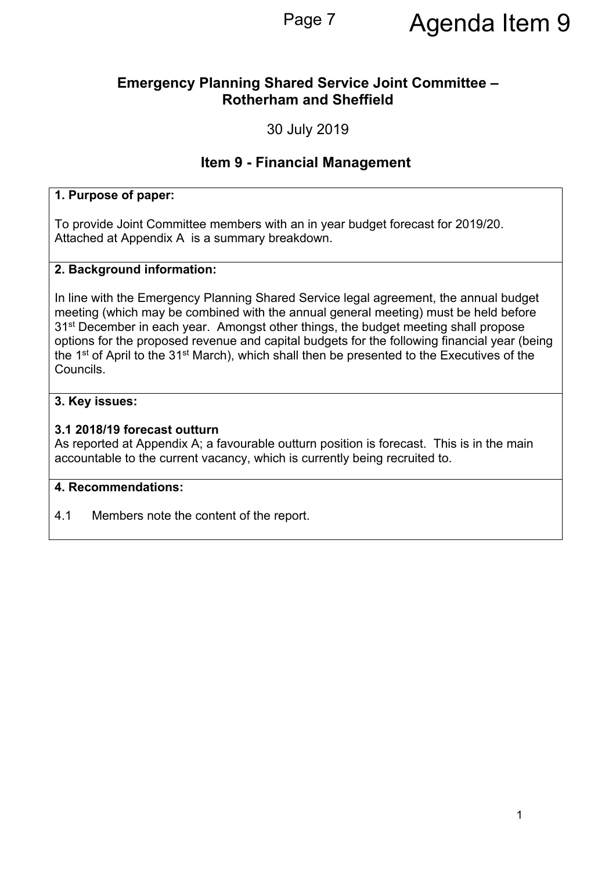### **Emergency Planning Shared Service Joint Committee – Rotherham and Sheffield**

30 July 2019

## **Item 9 - Financial Management**

#### **1. Purpose of paper:**

To provide Joint Committee members with an in year budget forecast for 2019/20. Attached at Appendix A is a summary breakdown.

#### **2. Background information:**

In line with the Emergency Planning Shared Service legal agreement, the annual budget meeting (which may be combined with the annual general meeting) must be held before 31st December in each year. Amongst other things, the budget meeting shall propose options for the proposed revenue and capital budgets for the following financial year (being the 1<sup>st</sup> of April to the 31<sup>st</sup> March), which shall then be presented to the Executives of the Councils.

#### **3. Key issues:**

#### **3.1 2018/19 forecast outturn**

As reported at Appendix A; a favourable outturn position is forecast. This is in the main accountable to the current vacancy, which is currently being recruited to.

#### **4. Recommendations:**

4.1 Members note the content of the report.